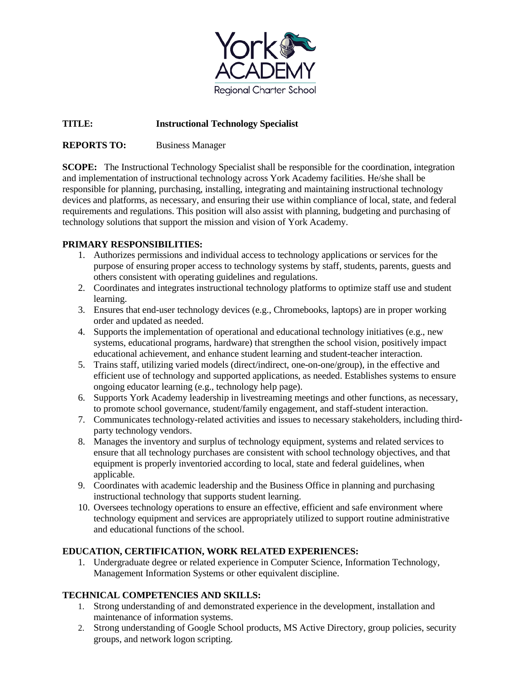

# **TITLE: Instructional Technology Specialist**

# **REPORTS TO:** Business Manager

**SCOPE:** The Instructional Technology Specialist shall be responsible for the coordination, integration and implementation of instructional technology across York Academy facilities. He/she shall be responsible for planning, purchasing, installing, integrating and maintaining instructional technology devices and platforms, as necessary, and ensuring their use within compliance of local, state, and federal requirements and regulations. This position will also assist with planning, budgeting and purchasing of technology solutions that support the mission and vision of York Academy.

# **PRIMARY RESPONSIBILITIES:**

- 1. Authorizes permissions and individual access to technology applications or services for the purpose of ensuring proper access to technology systems by staff, students, parents, guests and others consistent with operating guidelines and regulations.
- 2. Coordinates and integrates instructional technology platforms to optimize staff use and student learning.
- 3. Ensures that end-user technology devices (e.g., Chromebooks, laptops) are in proper working order and updated as needed.
- 4. Supports the implementation of operational and educational technology initiatives (e.g., new systems, educational programs, hardware) that strengthen the school vision, positively impact educational achievement, and enhance student learning and student-teacher interaction.
- 5. Trains staff, utilizing varied models (direct/indirect, one-on-one/group), in the effective and efficient use of technology and supported applications, as needed. Establishes systems to ensure ongoing educator learning (e.g., technology help page).
- 6. Supports York Academy leadership in livestreaming meetings and other functions, as necessary, to promote school governance, student/family engagement, and staff-student interaction.
- 7. Communicates technology-related activities and issues to necessary stakeholders, including thirdparty technology vendors.
- 8. Manages the inventory and surplus of technology equipment, systems and related services to ensure that all technology purchases are consistent with school technology objectives, and that equipment is properly inventoried according to local, state and federal guidelines, when applicable.
- 9. Coordinates with academic leadership and the Business Office in planning and purchasing instructional technology that supports student learning.
- 10. Oversees technology operations to ensure an effective, efficient and safe environment where technology equipment and services are appropriately utilized to support routine administrative and educational functions of the school.

#### **EDUCATION, CERTIFICATION, WORK RELATED EXPERIENCES:**

1. Undergraduate degree or related experience in Computer Science, Information Technology, Management Information Systems or other equivalent discipline.

# **TECHNICAL COMPETENCIES AND SKILLS:**

- 1. Strong understanding of and demonstrated experience in the development, installation and maintenance of information systems.
- 2. Strong understanding of Google School products, MS Active Directory, group policies, security groups, and network logon scripting.